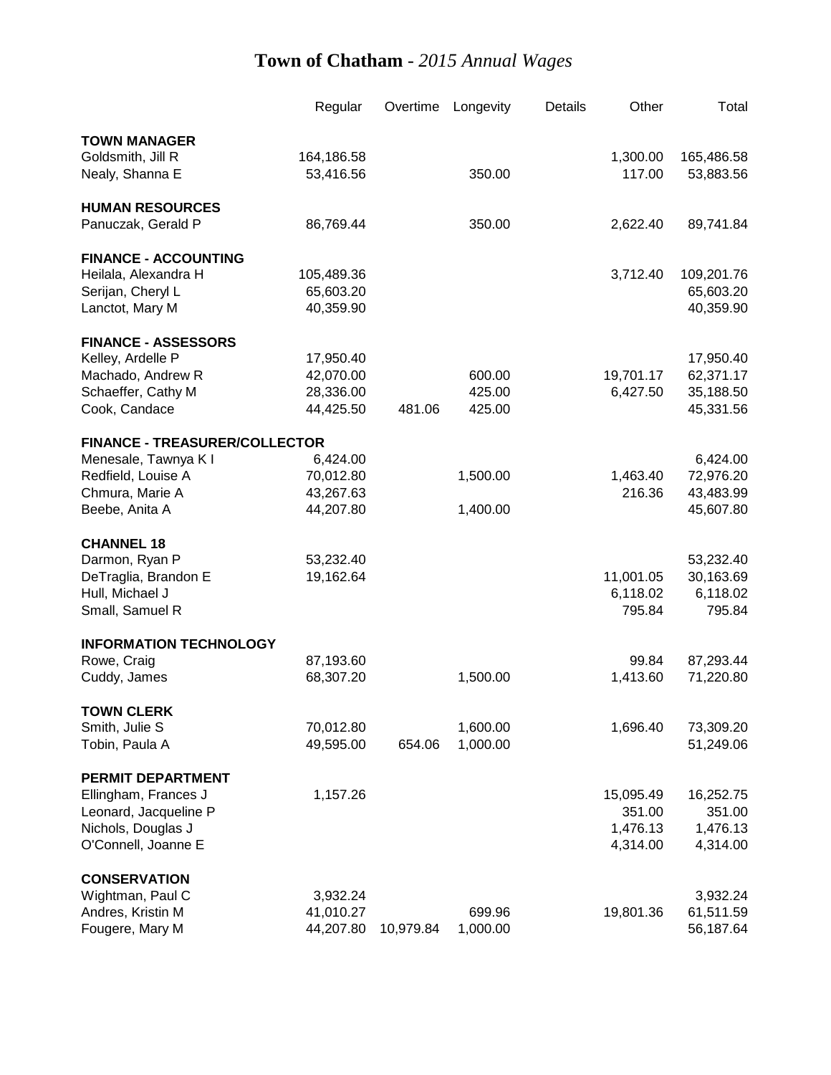|                                      | Regular    | Overtime  | Longevity | Details | Other     | Total      |
|--------------------------------------|------------|-----------|-----------|---------|-----------|------------|
| <b>TOWN MANAGER</b>                  |            |           |           |         |           |            |
| Goldsmith, Jill R                    | 164,186.58 |           |           |         | 1,300.00  | 165,486.58 |
| Nealy, Shanna E                      | 53,416.56  |           | 350.00    |         | 117.00    | 53,883.56  |
| <b>HUMAN RESOURCES</b>               |            |           |           |         |           |            |
| Panuczak, Gerald P                   | 86,769.44  |           | 350.00    |         | 2,622.40  | 89,741.84  |
| <b>FINANCE - ACCOUNTING</b>          |            |           |           |         |           |            |
| Heilala, Alexandra H                 | 105,489.36 |           |           |         | 3,712.40  | 109,201.76 |
| Serijan, Cheryl L                    | 65,603.20  |           |           |         |           | 65,603.20  |
| Lanctot, Mary M                      | 40,359.90  |           |           |         |           | 40,359.90  |
| <b>FINANCE - ASSESSORS</b>           |            |           |           |         |           |            |
| Kelley, Ardelle P                    | 17,950.40  |           |           |         |           | 17,950.40  |
| Machado, Andrew R                    | 42,070.00  |           | 600.00    |         | 19,701.17 | 62,371.17  |
| Schaeffer, Cathy M                   | 28,336.00  |           | 425.00    |         | 6,427.50  | 35,188.50  |
| Cook, Candace                        | 44,425.50  | 481.06    | 425.00    |         |           | 45,331.56  |
| <b>FINANCE - TREASURER/COLLECTOR</b> |            |           |           |         |           |            |
| Menesale, Tawnya K I                 | 6,424.00   |           |           |         |           | 6,424.00   |
| Redfield, Louise A                   | 70,012.80  |           | 1,500.00  |         | 1,463.40  | 72,976.20  |
| Chmura, Marie A                      | 43,267.63  |           |           |         | 216.36    | 43,483.99  |
| Beebe, Anita A                       | 44,207.80  |           | 1,400.00  |         |           | 45,607.80  |
| <b>CHANNEL 18</b>                    |            |           |           |         |           |            |
| Darmon, Ryan P                       | 53,232.40  |           |           |         |           | 53,232.40  |
| DeTraglia, Brandon E                 | 19,162.64  |           |           |         | 11,001.05 | 30,163.69  |
| Hull, Michael J                      |            |           |           |         | 6,118.02  | 6,118.02   |
| Small, Samuel R                      |            |           |           |         | 795.84    | 795.84     |
| <b>INFORMATION TECHNOLOGY</b>        |            |           |           |         |           |            |
| Rowe, Craig                          | 87,193.60  |           |           |         | 99.84     | 87,293.44  |
| Cuddy, James                         | 68,307.20  |           | 1,500.00  |         | 1,413.60  | 71,220.80  |
| <b>TOWN CLERK</b>                    |            |           |           |         |           |            |
| Smith, Julie S                       | 70,012.80  |           | 1,600.00  |         | 1,696.40  | 73,309.20  |
| Tobin, Paula A                       | 49,595.00  | 654.06    | 1,000.00  |         |           | 51,249.06  |
| <b>PERMIT DEPARTMENT</b>             |            |           |           |         |           |            |
| Ellingham, Frances J                 | 1,157.26   |           |           |         | 15,095.49 | 16,252.75  |
| Leonard, Jacqueline P                |            |           |           |         | 351.00    | 351.00     |
| Nichols, Douglas J                   |            |           |           |         | 1,476.13  | 1,476.13   |
| O'Connell, Joanne E                  |            |           |           |         | 4,314.00  | 4,314.00   |
| <b>CONSERVATION</b>                  |            |           |           |         |           |            |
| Wightman, Paul C                     | 3,932.24   |           |           |         |           | 3,932.24   |
| Andres, Kristin M                    | 41,010.27  |           | 699.96    |         | 19,801.36 | 61,511.59  |
| Fougere, Mary M                      | 44,207.80  | 10,979.84 | 1,000.00  |         |           | 56,187.64  |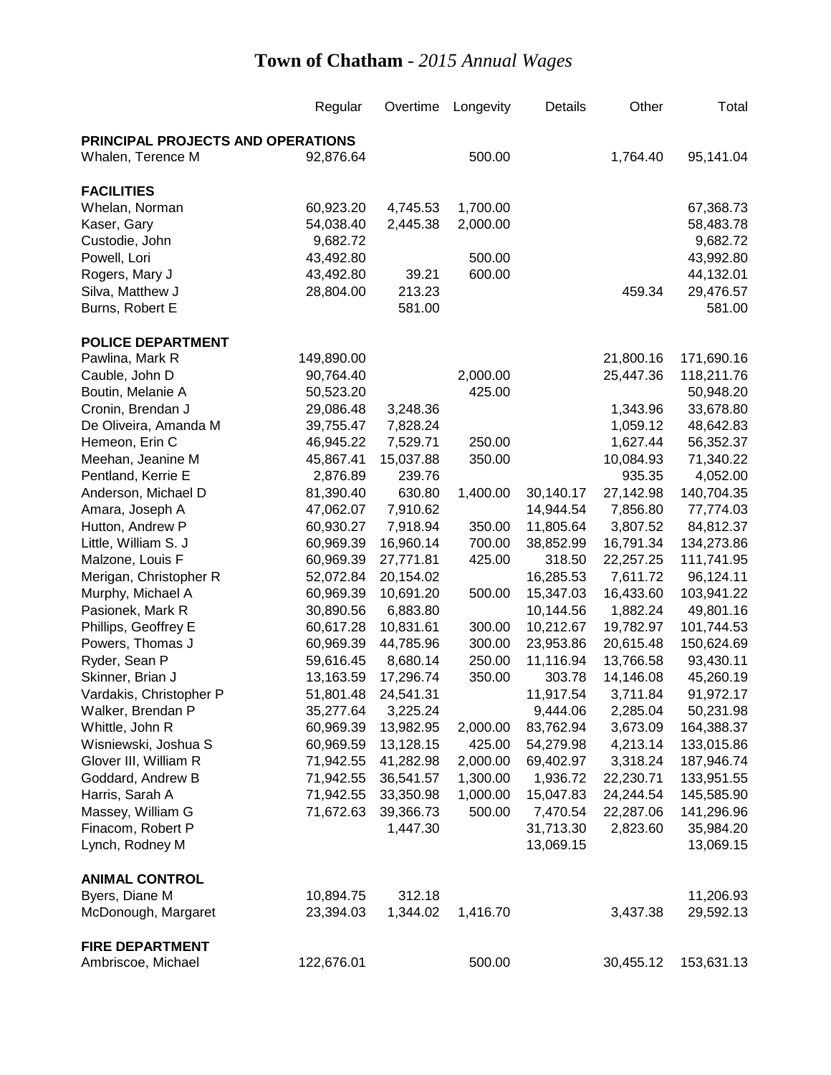|                                   | Regular    | Overtime  | Longevity | Details   | Other     | Total      |
|-----------------------------------|------------|-----------|-----------|-----------|-----------|------------|
| PRINCIPAL PROJECTS AND OPERATIONS |            |           |           |           |           |            |
| Whalen, Terence M                 | 92,876.64  |           | 500.00    |           | 1,764.40  | 95,141.04  |
| <b>FACILITIES</b>                 |            |           |           |           |           |            |
| Whelan, Norman                    | 60,923.20  | 4,745.53  | 1,700.00  |           |           | 67,368.73  |
| Kaser, Gary                       | 54,038.40  | 2,445.38  | 2,000.00  |           |           | 58,483.78  |
| Custodie, John                    | 9,682.72   |           |           |           |           | 9,682.72   |
| Powell, Lori                      | 43,492.80  |           | 500.00    |           |           | 43,992.80  |
| Rogers, Mary J                    | 43,492.80  | 39.21     | 600.00    |           |           | 44,132.01  |
| Silva, Matthew J                  | 28,804.00  | 213.23    |           |           | 459.34    | 29,476.57  |
| Burns, Robert E                   |            | 581.00    |           |           |           | 581.00     |
| <b>POLICE DEPARTMENT</b>          |            |           |           |           |           |            |
| Pawlina, Mark R                   | 149,890.00 |           |           |           | 21,800.16 | 171,690.16 |
| Cauble, John D                    | 90,764.40  |           | 2,000.00  |           | 25,447.36 | 118,211.76 |
| Boutin, Melanie A                 | 50,523.20  |           | 425.00    |           |           | 50,948.20  |
| Cronin, Brendan J                 | 29,086.48  | 3,248.36  |           |           | 1,343.96  | 33,678.80  |
| De Oliveira, Amanda M             | 39,755.47  | 7,828.24  |           |           | 1,059.12  | 48,642.83  |
| Hemeon, Erin C                    | 46,945.22  | 7,529.71  | 250.00    |           | 1,627.44  | 56,352.37  |
| Meehan, Jeanine M                 | 45,867.41  | 15,037.88 | 350.00    |           | 10,084.93 | 71,340.22  |
| Pentland, Kerrie E                | 2,876.89   | 239.76    |           |           | 935.35    | 4,052.00   |
| Anderson, Michael D               | 81,390.40  | 630.80    | 1,400.00  | 30,140.17 | 27,142.98 | 140,704.35 |
| Amara, Joseph A                   | 47,062.07  | 7,910.62  |           | 14,944.54 | 7,856.80  | 77,774.03  |
| Hutton, Andrew P                  | 60,930.27  | 7,918.94  | 350.00    | 11,805.64 | 3,807.52  | 84,812.37  |
| Little, William S. J              | 60,969.39  | 16,960.14 | 700.00    | 38,852.99 | 16,791.34 | 134,273.86 |
| Malzone, Louis F                  | 60,969.39  | 27,771.81 | 425.00    | 318.50    | 22,257.25 | 111,741.95 |
| Merigan, Christopher R            | 52,072.84  | 20,154.02 |           | 16,285.53 | 7,611.72  | 96,124.11  |
| Murphy, Michael A                 | 60,969.39  | 10,691.20 | 500.00    | 15,347.03 | 16,433.60 | 103,941.22 |
| Pasionek, Mark R                  | 30,890.56  | 6,883.80  |           | 10,144.56 | 1,882.24  | 49,801.16  |
| Phillips, Geoffrey E              | 60,617.28  | 10,831.61 | 300.00    | 10,212.67 | 19,782.97 | 101,744.53 |
| Powers, Thomas J                  | 60,969.39  | 44,785.96 | 300.00    | 23,953.86 | 20,615.48 | 150,624.69 |
| Ryder, Sean P                     | 59,616.45  | 8,680.14  | 250.00    | 11,116.94 | 13,766.58 | 93,430.11  |
| Skinner, Brian J                  | 13,163.59  | 17,296.74 | 350.00    | 303.78    | 14,146.08 | 45,260.19  |
| Vardakis, Christopher P           | 51,801.48  | 24,541.31 |           | 11,917.54 | 3,711.84  | 91,972.17  |
| Walker, Brendan P                 | 35,277.64  | 3,225.24  |           | 9,444.06  | 2,285.04  | 50,231.98  |
| Whittle, John R                   | 60,969.39  | 13,982.95 | 2,000.00  | 83,762.94 | 3,673.09  | 164,388.37 |
| Wisniewski, Joshua S              | 60,969.59  | 13,128.15 | 425.00    | 54,279.98 | 4,213.14  | 133,015.86 |
| Glover III, William R             | 71,942.55  | 41,282.98 | 2,000.00  | 69,402.97 | 3,318.24  | 187,946.74 |
| Goddard, Andrew B                 | 71,942.55  | 36,541.57 | 1,300.00  | 1,936.72  | 22,230.71 | 133,951.55 |
| Harris, Sarah A                   | 71,942.55  | 33,350.98 | 1,000.00  | 15,047.83 | 24,244.54 | 145,585.90 |
| Massey, William G                 | 71,672.63  | 39,366.73 | 500.00    | 7,470.54  | 22,287.06 | 141,296.96 |
| Finacom, Robert P                 |            | 1,447.30  |           | 31,713.30 | 2,823.60  | 35,984.20  |
| Lynch, Rodney M                   |            |           |           | 13,069.15 |           | 13,069.15  |
| <b>ANIMAL CONTROL</b>             |            |           |           |           |           |            |
| Byers, Diane M                    | 10,894.75  | 312.18    |           |           |           | 11,206.93  |
| McDonough, Margaret               | 23,394.03  | 1,344.02  | 1,416.70  |           | 3,437.38  | 29,592.13  |
| <b>FIRE DEPARTMENT</b>            |            |           |           |           |           |            |
| Ambriscoe, Michael                | 122,676.01 |           | 500.00    |           | 30,455.12 | 153,631.13 |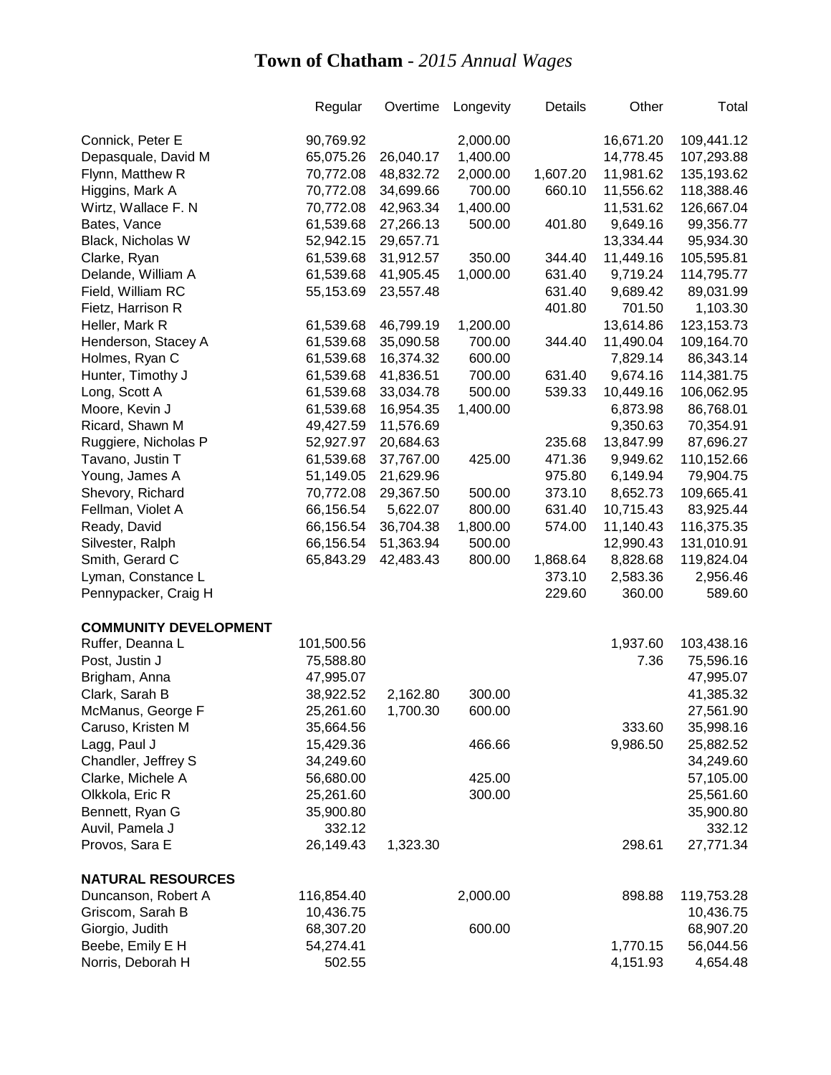|                              | Regular    | Overtime  | Longevity | Details  | Other     | Total        |
|------------------------------|------------|-----------|-----------|----------|-----------|--------------|
|                              |            |           |           |          |           |              |
| Connick, Peter E             | 90,769.92  |           | 2,000.00  |          | 16,671.20 | 109,441.12   |
| Depasquale, David M          | 65,075.26  | 26,040.17 | 1,400.00  |          | 14,778.45 | 107,293.88   |
| Flynn, Matthew R             | 70,772.08  | 48,832.72 | 2,000.00  | 1,607.20 | 11,981.62 | 135,193.62   |
| Higgins, Mark A              | 70,772.08  | 34,699.66 | 700.00    | 660.10   | 11,556.62 | 118,388.46   |
| Wirtz, Wallace F. N          | 70,772.08  | 42,963.34 | 1,400.00  |          | 11,531.62 | 126,667.04   |
| Bates, Vance                 | 61,539.68  | 27,266.13 | 500.00    | 401.80   | 9,649.16  | 99,356.77    |
| Black, Nicholas W            | 52,942.15  | 29,657.71 |           |          | 13,334.44 | 95,934.30    |
| Clarke, Ryan                 | 61,539.68  | 31,912.57 | 350.00    | 344.40   | 11,449.16 | 105,595.81   |
| Delande, William A           | 61,539.68  | 41,905.45 | 1,000.00  | 631.40   | 9,719.24  | 114,795.77   |
| Field, William RC            | 55,153.69  | 23,557.48 |           | 631.40   | 9,689.42  | 89,031.99    |
| Fietz, Harrison R            |            |           |           | 401.80   | 701.50    | 1,103.30     |
| Heller, Mark R               | 61,539.68  | 46,799.19 | 1,200.00  |          | 13,614.86 | 123, 153. 73 |
| Henderson, Stacey A          | 61,539.68  | 35,090.58 | 700.00    | 344.40   | 11,490.04 | 109,164.70   |
| Holmes, Ryan C               | 61,539.68  | 16,374.32 | 600.00    |          | 7,829.14  | 86,343.14    |
| Hunter, Timothy J            | 61,539.68  | 41,836.51 | 700.00    | 631.40   | 9,674.16  | 114,381.75   |
| Long, Scott A                | 61,539.68  | 33,034.78 | 500.00    | 539.33   | 10,449.16 | 106,062.95   |
| Moore, Kevin J               | 61,539.68  | 16,954.35 | 1,400.00  |          | 6,873.98  | 86,768.01    |
| Ricard, Shawn M              | 49,427.59  | 11,576.69 |           |          | 9,350.63  | 70,354.91    |
| Ruggiere, Nicholas P         | 52,927.97  | 20,684.63 |           | 235.68   | 13,847.99 | 87,696.27    |
| Tavano, Justin T             | 61,539.68  | 37,767.00 | 425.00    | 471.36   | 9,949.62  | 110,152.66   |
| Young, James A               | 51,149.05  | 21,629.96 |           | 975.80   | 6,149.94  | 79,904.75    |
| Shevory, Richard             | 70,772.08  | 29,367.50 | 500.00    | 373.10   | 8,652.73  | 109,665.41   |
| Fellman, Violet A            | 66,156.54  | 5,622.07  | 800.00    | 631.40   | 10,715.43 | 83,925.44    |
| Ready, David                 | 66,156.54  | 36,704.38 | 1,800.00  | 574.00   | 11,140.43 | 116,375.35   |
| Silvester, Ralph             | 66,156.54  | 51,363.94 | 500.00    |          | 12,990.43 | 131,010.91   |
| Smith, Gerard C              | 65,843.29  | 42,483.43 | 800.00    | 1,868.64 | 8,828.68  | 119,824.04   |
| Lyman, Constance L           |            |           |           | 373.10   | 2,583.36  | 2,956.46     |
| Pennypacker, Craig H         |            |           |           | 229.60   | 360.00    | 589.60       |
| <b>COMMUNITY DEVELOPMENT</b> |            |           |           |          |           |              |
| Ruffer, Deanna L             | 101,500.56 |           |           |          | 1,937.60  | 103,438.16   |
| Post, Justin J               | 75,588.80  |           |           |          | 7.36      | 75,596.16    |
| Brigham, Anna                | 47,995.07  |           |           |          |           | 47,995.07    |
| Clark, Sarah B               | 38,922.52  | 2,162.80  | 300.00    |          |           | 41,385.32    |
| McManus, George F            | 25,261.60  | 1,700.30  | 600.00    |          |           | 27,561.90    |
| Caruso, Kristen M            | 35,664.56  |           |           |          | 333.60    | 35,998.16    |
| Lagg, Paul J                 | 15,429.36  |           | 466.66    |          | 9,986.50  | 25,882.52    |
| Chandler, Jeffrey S          | 34,249.60  |           |           |          |           | 34,249.60    |
| Clarke, Michele A            | 56,680.00  |           | 425.00    |          |           | 57,105.00    |
| Olkkola, Eric R              | 25,261.60  |           | 300.00    |          |           | 25,561.60    |
| Bennett, Ryan G              | 35,900.80  |           |           |          |           | 35,900.80    |
| Auvil, Pamela J              | 332.12     |           |           |          |           | 332.12       |
| Provos, Sara E               | 26,149.43  | 1,323.30  |           |          | 298.61    | 27,771.34    |
| <b>NATURAL RESOURCES</b>     |            |           |           |          |           |              |
| Duncanson, Robert A          | 116,854.40 |           | 2,000.00  |          | 898.88    | 119,753.28   |
| Griscom, Sarah B             | 10,436.75  |           |           |          |           | 10,436.75    |
| Giorgio, Judith              | 68,307.20  |           | 600.00    |          |           | 68,907.20    |
| Beebe, Emily E H             | 54,274.41  |           |           |          | 1,770.15  | 56,044.56    |
| Norris, Deborah H            | 502.55     |           |           |          | 4,151.93  | 4,654.48     |
|                              |            |           |           |          |           |              |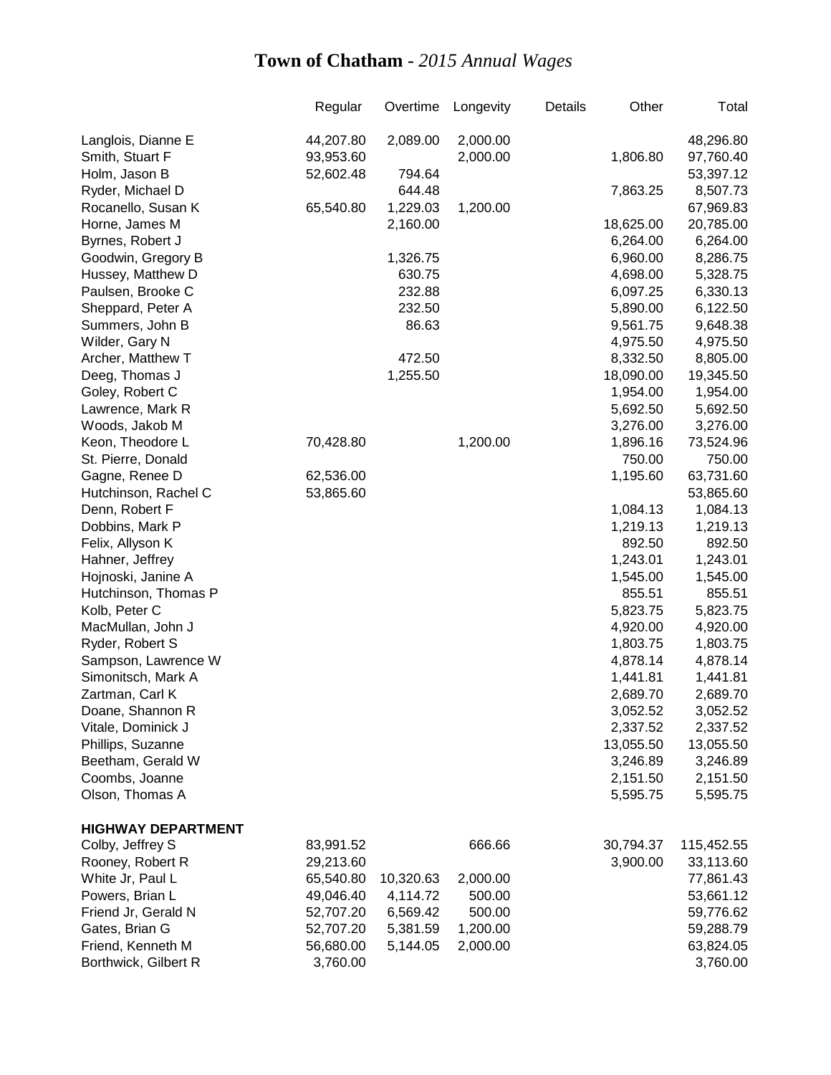|                           | Regular   | Overtime  | Longevity | Details | Other     | Total      |
|---------------------------|-----------|-----------|-----------|---------|-----------|------------|
| Langlois, Dianne E        | 44,207.80 | 2,089.00  | 2,000.00  |         |           | 48,296.80  |
| Smith, Stuart F           | 93,953.60 |           | 2,000.00  |         | 1,806.80  | 97,760.40  |
| Holm, Jason B             | 52,602.48 | 794.64    |           |         |           | 53,397.12  |
| Ryder, Michael D          |           | 644.48    |           |         | 7,863.25  | 8,507.73   |
| Rocanello, Susan K        | 65,540.80 | 1,229.03  | 1,200.00  |         |           | 67,969.83  |
| Horne, James M            |           | 2,160.00  |           |         | 18,625.00 | 20,785.00  |
| Byrnes, Robert J          |           |           |           |         | 6,264.00  | 6,264.00   |
| Goodwin, Gregory B        |           | 1,326.75  |           |         | 6,960.00  | 8,286.75   |
| Hussey, Matthew D         |           | 630.75    |           |         | 4,698.00  | 5,328.75   |
| Paulsen, Brooke C         |           | 232.88    |           |         | 6,097.25  | 6,330.13   |
| Sheppard, Peter A         |           | 232.50    |           |         | 5,890.00  | 6,122.50   |
| Summers, John B           |           | 86.63     |           |         | 9,561.75  | 9,648.38   |
| Wilder, Gary N            |           |           |           |         | 4,975.50  | 4,975.50   |
| Archer, Matthew T         |           | 472.50    |           |         | 8,332.50  | 8,805.00   |
| Deeg, Thomas J            |           | 1,255.50  |           |         | 18,090.00 | 19,345.50  |
| Goley, Robert C           |           |           |           |         | 1,954.00  | 1,954.00   |
| Lawrence, Mark R          |           |           |           |         | 5,692.50  | 5,692.50   |
| Woods, Jakob M            |           |           |           |         | 3,276.00  | 3,276.00   |
| Keon, Theodore L          | 70,428.80 |           | 1,200.00  |         | 1,896.16  | 73,524.96  |
| St. Pierre, Donald        |           |           |           |         | 750.00    | 750.00     |
| Gagne, Renee D            | 62,536.00 |           |           |         | 1,195.60  | 63,731.60  |
| Hutchinson, Rachel C      | 53,865.60 |           |           |         |           | 53,865.60  |
| Denn, Robert F            |           |           |           |         | 1,084.13  | 1,084.13   |
| Dobbins, Mark P           |           |           |           |         | 1,219.13  | 1,219.13   |
| Felix, Allyson K          |           |           |           |         | 892.50    | 892.50     |
| Hahner, Jeffrey           |           |           |           |         | 1,243.01  | 1,243.01   |
| Hojnoski, Janine A        |           |           |           |         | 1,545.00  | 1,545.00   |
| Hutchinson, Thomas P      |           |           |           |         | 855.51    | 855.51     |
| Kolb, Peter C             |           |           |           |         | 5,823.75  | 5,823.75   |
| MacMullan, John J         |           |           |           |         | 4,920.00  | 4,920.00   |
| Ryder, Robert S           |           |           |           |         | 1,803.75  | 1,803.75   |
| Sampson, Lawrence W       |           |           |           |         | 4,878.14  | 4,878.14   |
| Simonitsch, Mark A        |           |           |           |         | 1,441.81  | 1,441.81   |
| Zartman, Carl K           |           |           |           |         | 2,689.70  | 2,689.70   |
| Doane, Shannon R          |           |           |           |         | 3,052.52  | 3,052.52   |
| Vitale, Dominick J        |           |           |           |         | 2,337.52  | 2,337.52   |
| Phillips, Suzanne         |           |           |           |         | 13,055.50 | 13,055.50  |
| Beetham, Gerald W         |           |           |           |         | 3,246.89  | 3,246.89   |
| Coombs, Joanne            |           |           |           |         | 2,151.50  | 2,151.50   |
| Olson, Thomas A           |           |           |           |         | 5,595.75  | 5,595.75   |
| <b>HIGHWAY DEPARTMENT</b> |           |           |           |         |           |            |
| Colby, Jeffrey S          | 83,991.52 |           | 666.66    |         | 30,794.37 | 115,452.55 |
| Rooney, Robert R          | 29,213.60 |           |           |         | 3,900.00  | 33,113.60  |
| White Jr, Paul L          | 65,540.80 | 10,320.63 | 2,000.00  |         |           | 77,861.43  |
| Powers, Brian L           | 49,046.40 | 4,114.72  | 500.00    |         |           | 53,661.12  |
| Friend Jr, Gerald N       | 52,707.20 | 6,569.42  | 500.00    |         |           | 59,776.62  |
| Gates, Brian G            | 52,707.20 | 5,381.59  | 1,200.00  |         |           | 59,288.79  |
| Friend, Kenneth M         | 56,680.00 | 5,144.05  | 2,000.00  |         |           | 63,824.05  |
| Borthwick, Gilbert R      | 3,760.00  |           |           |         |           | 3,760.00   |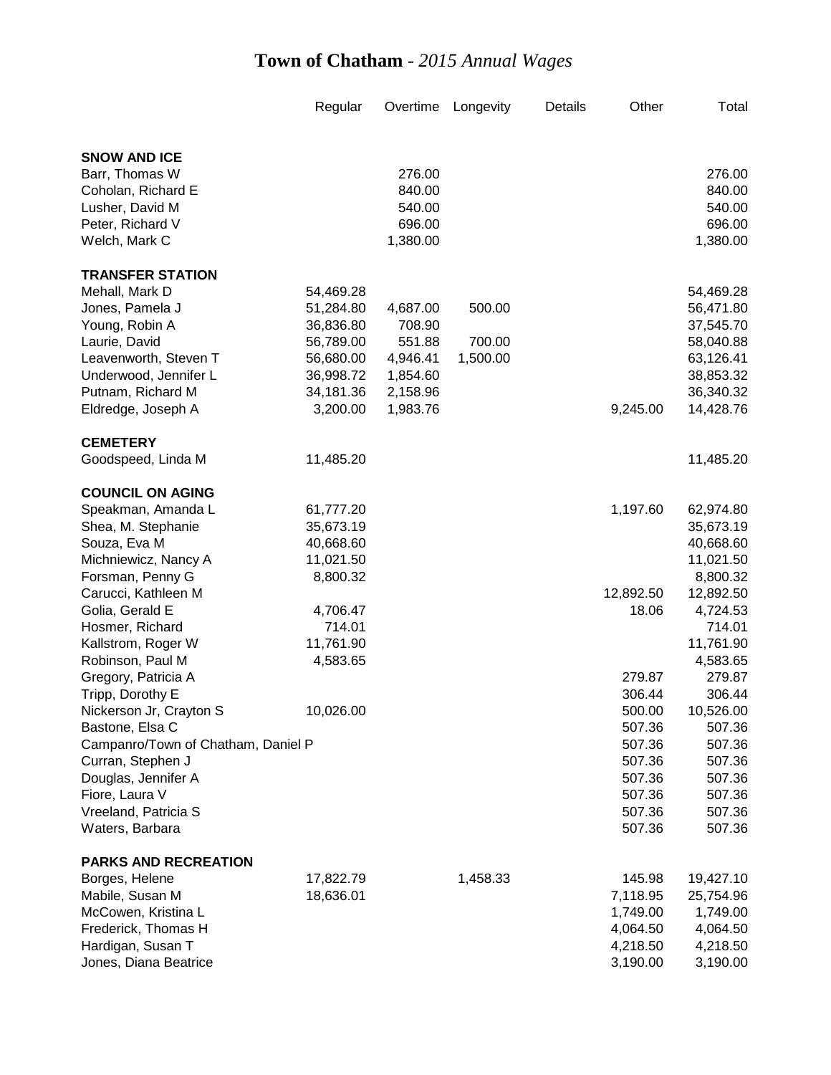| <b>SNOW AND ICE</b><br>Barr, Thomas W<br>276.00<br>276.00<br>840.00<br>840.00<br>Coholan, Richard E<br>Lusher, David M<br>540.00<br>540.00<br>696.00<br>Peter, Richard V<br>696.00<br>1,380.00<br>Welch, Mark C<br>1,380.00<br><b>TRANSFER STATION</b><br>Mehall, Mark D<br>54,469.28<br>54,469.28<br>51,284.80<br>500.00<br>56,471.80<br>Jones, Pamela J<br>4,687.00<br>Young, Robin A<br>36,836.80<br>708.90<br>37,545.70<br>Laurie, David<br>56,789.00<br>551.88<br>700.00<br>58,040.88<br>Leavenworth, Steven T<br>56,680.00<br>1,500.00<br>63,126.41<br>4,946.41<br>Underwood, Jennifer L<br>36,998.72<br>38,853.32<br>1,854.60<br>Putnam, Richard M<br>34,181.36<br>2,158.96<br>36,340.32<br>3,200.00<br>1,983.76<br>9,245.00<br>14,428.76<br>Eldredge, Joseph A<br><b>CEMETERY</b><br>Goodspeed, Linda M<br>11,485.20<br>11,485.20<br><b>COUNCIL ON AGING</b><br>1,197.60<br>Speakman, Amanda L<br>61,777.20<br>62,974.80<br>Shea, M. Stephanie<br>35,673.19<br>35,673.19<br>Souza, Eva M<br>40,668.60<br>40,668.60<br>Michniewicz, Nancy A<br>11,021.50<br>11,021.50<br>8,800.32<br>8,800.32<br>Forsman, Penny G<br>Carucci, Kathleen M<br>12,892.50<br>12,892.50<br>Golia, Gerald E<br>4,706.47<br>18.06<br>4,724.53<br>714.01<br>714.01<br>Hosmer, Richard<br>11,761.90<br>11,761.90<br>Kallstrom, Roger W<br>Robinson, Paul M<br>4,583.65<br>4,583.65<br>Gregory, Patricia A<br>279.87<br>279.87<br>Tripp, Dorothy E<br>306.44<br>306.44<br>500.00<br>10,526.00<br>10,026.00<br>Nickerson Jr, Crayton S<br>507.36<br>Bastone, Elsa C<br>507.36<br>Campanro/Town of Chatham, Daniel P<br>507.36<br>507.36<br>Curran, Stephen J<br>507.36<br>507.36<br>Douglas, Jennifer A<br>507.36<br>507.36<br>Fiore, Laura V<br>507.36<br>507.36<br>Vreeland, Patricia S<br>507.36<br>507.36<br>Waters, Barbara<br>507.36<br>507.36<br><b>PARKS AND RECREATION</b><br>1,458.33<br>Borges, Helene<br>17,822.79<br>145.98<br>19,427.10<br>Mabile, Susan M<br>18,636.01<br>7,118.95<br>25,754.96<br>McCowen, Kristina L<br>1,749.00<br>1,749.00<br>Frederick, Thomas H<br>4,064.50<br>4,064.50<br>Hardigan, Susan T<br>4,218.50<br>4,218.50 |                       | Regular | Overtime | Longevity | Details | Other    | Total    |
|---------------------------------------------------------------------------------------------------------------------------------------------------------------------------------------------------------------------------------------------------------------------------------------------------------------------------------------------------------------------------------------------------------------------------------------------------------------------------------------------------------------------------------------------------------------------------------------------------------------------------------------------------------------------------------------------------------------------------------------------------------------------------------------------------------------------------------------------------------------------------------------------------------------------------------------------------------------------------------------------------------------------------------------------------------------------------------------------------------------------------------------------------------------------------------------------------------------------------------------------------------------------------------------------------------------------------------------------------------------------------------------------------------------------------------------------------------------------------------------------------------------------------------------------------------------------------------------------------------------------------------------------------------------------------------------------------------------------------------------------------------------------------------------------------------------------------------------------------------------------------------------------------------------------------------------------------------------------------------------------------------------------------------------------------------------------------------------------------------------------------------------|-----------------------|---------|----------|-----------|---------|----------|----------|
|                                                                                                                                                                                                                                                                                                                                                                                                                                                                                                                                                                                                                                                                                                                                                                                                                                                                                                                                                                                                                                                                                                                                                                                                                                                                                                                                                                                                                                                                                                                                                                                                                                                                                                                                                                                                                                                                                                                                                                                                                                                                                                                                       |                       |         |          |           |         |          |          |
|                                                                                                                                                                                                                                                                                                                                                                                                                                                                                                                                                                                                                                                                                                                                                                                                                                                                                                                                                                                                                                                                                                                                                                                                                                                                                                                                                                                                                                                                                                                                                                                                                                                                                                                                                                                                                                                                                                                                                                                                                                                                                                                                       |                       |         |          |           |         |          |          |
|                                                                                                                                                                                                                                                                                                                                                                                                                                                                                                                                                                                                                                                                                                                                                                                                                                                                                                                                                                                                                                                                                                                                                                                                                                                                                                                                                                                                                                                                                                                                                                                                                                                                                                                                                                                                                                                                                                                                                                                                                                                                                                                                       |                       |         |          |           |         |          |          |
|                                                                                                                                                                                                                                                                                                                                                                                                                                                                                                                                                                                                                                                                                                                                                                                                                                                                                                                                                                                                                                                                                                                                                                                                                                                                                                                                                                                                                                                                                                                                                                                                                                                                                                                                                                                                                                                                                                                                                                                                                                                                                                                                       |                       |         |          |           |         |          |          |
|                                                                                                                                                                                                                                                                                                                                                                                                                                                                                                                                                                                                                                                                                                                                                                                                                                                                                                                                                                                                                                                                                                                                                                                                                                                                                                                                                                                                                                                                                                                                                                                                                                                                                                                                                                                                                                                                                                                                                                                                                                                                                                                                       |                       |         |          |           |         |          |          |
|                                                                                                                                                                                                                                                                                                                                                                                                                                                                                                                                                                                                                                                                                                                                                                                                                                                                                                                                                                                                                                                                                                                                                                                                                                                                                                                                                                                                                                                                                                                                                                                                                                                                                                                                                                                                                                                                                                                                                                                                                                                                                                                                       |                       |         |          |           |         |          |          |
|                                                                                                                                                                                                                                                                                                                                                                                                                                                                                                                                                                                                                                                                                                                                                                                                                                                                                                                                                                                                                                                                                                                                                                                                                                                                                                                                                                                                                                                                                                                                                                                                                                                                                                                                                                                                                                                                                                                                                                                                                                                                                                                                       |                       |         |          |           |         |          |          |
|                                                                                                                                                                                                                                                                                                                                                                                                                                                                                                                                                                                                                                                                                                                                                                                                                                                                                                                                                                                                                                                                                                                                                                                                                                                                                                                                                                                                                                                                                                                                                                                                                                                                                                                                                                                                                                                                                                                                                                                                                                                                                                                                       |                       |         |          |           |         |          |          |
|                                                                                                                                                                                                                                                                                                                                                                                                                                                                                                                                                                                                                                                                                                                                                                                                                                                                                                                                                                                                                                                                                                                                                                                                                                                                                                                                                                                                                                                                                                                                                                                                                                                                                                                                                                                                                                                                                                                                                                                                                                                                                                                                       |                       |         |          |           |         |          |          |
|                                                                                                                                                                                                                                                                                                                                                                                                                                                                                                                                                                                                                                                                                                                                                                                                                                                                                                                                                                                                                                                                                                                                                                                                                                                                                                                                                                                                                                                                                                                                                                                                                                                                                                                                                                                                                                                                                                                                                                                                                                                                                                                                       |                       |         |          |           |         |          |          |
|                                                                                                                                                                                                                                                                                                                                                                                                                                                                                                                                                                                                                                                                                                                                                                                                                                                                                                                                                                                                                                                                                                                                                                                                                                                                                                                                                                                                                                                                                                                                                                                                                                                                                                                                                                                                                                                                                                                                                                                                                                                                                                                                       |                       |         |          |           |         |          |          |
|                                                                                                                                                                                                                                                                                                                                                                                                                                                                                                                                                                                                                                                                                                                                                                                                                                                                                                                                                                                                                                                                                                                                                                                                                                                                                                                                                                                                                                                                                                                                                                                                                                                                                                                                                                                                                                                                                                                                                                                                                                                                                                                                       |                       |         |          |           |         |          |          |
|                                                                                                                                                                                                                                                                                                                                                                                                                                                                                                                                                                                                                                                                                                                                                                                                                                                                                                                                                                                                                                                                                                                                                                                                                                                                                                                                                                                                                                                                                                                                                                                                                                                                                                                                                                                                                                                                                                                                                                                                                                                                                                                                       |                       |         |          |           |         |          |          |
|                                                                                                                                                                                                                                                                                                                                                                                                                                                                                                                                                                                                                                                                                                                                                                                                                                                                                                                                                                                                                                                                                                                                                                                                                                                                                                                                                                                                                                                                                                                                                                                                                                                                                                                                                                                                                                                                                                                                                                                                                                                                                                                                       |                       |         |          |           |         |          |          |
|                                                                                                                                                                                                                                                                                                                                                                                                                                                                                                                                                                                                                                                                                                                                                                                                                                                                                                                                                                                                                                                                                                                                                                                                                                                                                                                                                                                                                                                                                                                                                                                                                                                                                                                                                                                                                                                                                                                                                                                                                                                                                                                                       |                       |         |          |           |         |          |          |
|                                                                                                                                                                                                                                                                                                                                                                                                                                                                                                                                                                                                                                                                                                                                                                                                                                                                                                                                                                                                                                                                                                                                                                                                                                                                                                                                                                                                                                                                                                                                                                                                                                                                                                                                                                                                                                                                                                                                                                                                                                                                                                                                       |                       |         |          |           |         |          |          |
|                                                                                                                                                                                                                                                                                                                                                                                                                                                                                                                                                                                                                                                                                                                                                                                                                                                                                                                                                                                                                                                                                                                                                                                                                                                                                                                                                                                                                                                                                                                                                                                                                                                                                                                                                                                                                                                                                                                                                                                                                                                                                                                                       |                       |         |          |           |         |          |          |
|                                                                                                                                                                                                                                                                                                                                                                                                                                                                                                                                                                                                                                                                                                                                                                                                                                                                                                                                                                                                                                                                                                                                                                                                                                                                                                                                                                                                                                                                                                                                                                                                                                                                                                                                                                                                                                                                                                                                                                                                                                                                                                                                       |                       |         |          |           |         |          |          |
|                                                                                                                                                                                                                                                                                                                                                                                                                                                                                                                                                                                                                                                                                                                                                                                                                                                                                                                                                                                                                                                                                                                                                                                                                                                                                                                                                                                                                                                                                                                                                                                                                                                                                                                                                                                                                                                                                                                                                                                                                                                                                                                                       |                       |         |          |           |         |          |          |
|                                                                                                                                                                                                                                                                                                                                                                                                                                                                                                                                                                                                                                                                                                                                                                                                                                                                                                                                                                                                                                                                                                                                                                                                                                                                                                                                                                                                                                                                                                                                                                                                                                                                                                                                                                                                                                                                                                                                                                                                                                                                                                                                       |                       |         |          |           |         |          |          |
|                                                                                                                                                                                                                                                                                                                                                                                                                                                                                                                                                                                                                                                                                                                                                                                                                                                                                                                                                                                                                                                                                                                                                                                                                                                                                                                                                                                                                                                                                                                                                                                                                                                                                                                                                                                                                                                                                                                                                                                                                                                                                                                                       |                       |         |          |           |         |          |          |
|                                                                                                                                                                                                                                                                                                                                                                                                                                                                                                                                                                                                                                                                                                                                                                                                                                                                                                                                                                                                                                                                                                                                                                                                                                                                                                                                                                                                                                                                                                                                                                                                                                                                                                                                                                                                                                                                                                                                                                                                                                                                                                                                       |                       |         |          |           |         |          |          |
|                                                                                                                                                                                                                                                                                                                                                                                                                                                                                                                                                                                                                                                                                                                                                                                                                                                                                                                                                                                                                                                                                                                                                                                                                                                                                                                                                                                                                                                                                                                                                                                                                                                                                                                                                                                                                                                                                                                                                                                                                                                                                                                                       |                       |         |          |           |         |          |          |
|                                                                                                                                                                                                                                                                                                                                                                                                                                                                                                                                                                                                                                                                                                                                                                                                                                                                                                                                                                                                                                                                                                                                                                                                                                                                                                                                                                                                                                                                                                                                                                                                                                                                                                                                                                                                                                                                                                                                                                                                                                                                                                                                       |                       |         |          |           |         |          |          |
|                                                                                                                                                                                                                                                                                                                                                                                                                                                                                                                                                                                                                                                                                                                                                                                                                                                                                                                                                                                                                                                                                                                                                                                                                                                                                                                                                                                                                                                                                                                                                                                                                                                                                                                                                                                                                                                                                                                                                                                                                                                                                                                                       |                       |         |          |           |         |          |          |
|                                                                                                                                                                                                                                                                                                                                                                                                                                                                                                                                                                                                                                                                                                                                                                                                                                                                                                                                                                                                                                                                                                                                                                                                                                                                                                                                                                                                                                                                                                                                                                                                                                                                                                                                                                                                                                                                                                                                                                                                                                                                                                                                       |                       |         |          |           |         |          |          |
|                                                                                                                                                                                                                                                                                                                                                                                                                                                                                                                                                                                                                                                                                                                                                                                                                                                                                                                                                                                                                                                                                                                                                                                                                                                                                                                                                                                                                                                                                                                                                                                                                                                                                                                                                                                                                                                                                                                                                                                                                                                                                                                                       |                       |         |          |           |         |          |          |
|                                                                                                                                                                                                                                                                                                                                                                                                                                                                                                                                                                                                                                                                                                                                                                                                                                                                                                                                                                                                                                                                                                                                                                                                                                                                                                                                                                                                                                                                                                                                                                                                                                                                                                                                                                                                                                                                                                                                                                                                                                                                                                                                       |                       |         |          |           |         |          |          |
|                                                                                                                                                                                                                                                                                                                                                                                                                                                                                                                                                                                                                                                                                                                                                                                                                                                                                                                                                                                                                                                                                                                                                                                                                                                                                                                                                                                                                                                                                                                                                                                                                                                                                                                                                                                                                                                                                                                                                                                                                                                                                                                                       |                       |         |          |           |         |          |          |
|                                                                                                                                                                                                                                                                                                                                                                                                                                                                                                                                                                                                                                                                                                                                                                                                                                                                                                                                                                                                                                                                                                                                                                                                                                                                                                                                                                                                                                                                                                                                                                                                                                                                                                                                                                                                                                                                                                                                                                                                                                                                                                                                       |                       |         |          |           |         |          |          |
|                                                                                                                                                                                                                                                                                                                                                                                                                                                                                                                                                                                                                                                                                                                                                                                                                                                                                                                                                                                                                                                                                                                                                                                                                                                                                                                                                                                                                                                                                                                                                                                                                                                                                                                                                                                                                                                                                                                                                                                                                                                                                                                                       |                       |         |          |           |         |          |          |
|                                                                                                                                                                                                                                                                                                                                                                                                                                                                                                                                                                                                                                                                                                                                                                                                                                                                                                                                                                                                                                                                                                                                                                                                                                                                                                                                                                                                                                                                                                                                                                                                                                                                                                                                                                                                                                                                                                                                                                                                                                                                                                                                       |                       |         |          |           |         |          |          |
|                                                                                                                                                                                                                                                                                                                                                                                                                                                                                                                                                                                                                                                                                                                                                                                                                                                                                                                                                                                                                                                                                                                                                                                                                                                                                                                                                                                                                                                                                                                                                                                                                                                                                                                                                                                                                                                                                                                                                                                                                                                                                                                                       |                       |         |          |           |         |          |          |
|                                                                                                                                                                                                                                                                                                                                                                                                                                                                                                                                                                                                                                                                                                                                                                                                                                                                                                                                                                                                                                                                                                                                                                                                                                                                                                                                                                                                                                                                                                                                                                                                                                                                                                                                                                                                                                                                                                                                                                                                                                                                                                                                       |                       |         |          |           |         |          |          |
|                                                                                                                                                                                                                                                                                                                                                                                                                                                                                                                                                                                                                                                                                                                                                                                                                                                                                                                                                                                                                                                                                                                                                                                                                                                                                                                                                                                                                                                                                                                                                                                                                                                                                                                                                                                                                                                                                                                                                                                                                                                                                                                                       |                       |         |          |           |         |          |          |
|                                                                                                                                                                                                                                                                                                                                                                                                                                                                                                                                                                                                                                                                                                                                                                                                                                                                                                                                                                                                                                                                                                                                                                                                                                                                                                                                                                                                                                                                                                                                                                                                                                                                                                                                                                                                                                                                                                                                                                                                                                                                                                                                       |                       |         |          |           |         |          |          |
|                                                                                                                                                                                                                                                                                                                                                                                                                                                                                                                                                                                                                                                                                                                                                                                                                                                                                                                                                                                                                                                                                                                                                                                                                                                                                                                                                                                                                                                                                                                                                                                                                                                                                                                                                                                                                                                                                                                                                                                                                                                                                                                                       |                       |         |          |           |         |          |          |
|                                                                                                                                                                                                                                                                                                                                                                                                                                                                                                                                                                                                                                                                                                                                                                                                                                                                                                                                                                                                                                                                                                                                                                                                                                                                                                                                                                                                                                                                                                                                                                                                                                                                                                                                                                                                                                                                                                                                                                                                                                                                                                                                       |                       |         |          |           |         |          |          |
|                                                                                                                                                                                                                                                                                                                                                                                                                                                                                                                                                                                                                                                                                                                                                                                                                                                                                                                                                                                                                                                                                                                                                                                                                                                                                                                                                                                                                                                                                                                                                                                                                                                                                                                                                                                                                                                                                                                                                                                                                                                                                                                                       |                       |         |          |           |         |          |          |
|                                                                                                                                                                                                                                                                                                                                                                                                                                                                                                                                                                                                                                                                                                                                                                                                                                                                                                                                                                                                                                                                                                                                                                                                                                                                                                                                                                                                                                                                                                                                                                                                                                                                                                                                                                                                                                                                                                                                                                                                                                                                                                                                       |                       |         |          |           |         |          |          |
|                                                                                                                                                                                                                                                                                                                                                                                                                                                                                                                                                                                                                                                                                                                                                                                                                                                                                                                                                                                                                                                                                                                                                                                                                                                                                                                                                                                                                                                                                                                                                                                                                                                                                                                                                                                                                                                                                                                                                                                                                                                                                                                                       |                       |         |          |           |         |          |          |
|                                                                                                                                                                                                                                                                                                                                                                                                                                                                                                                                                                                                                                                                                                                                                                                                                                                                                                                                                                                                                                                                                                                                                                                                                                                                                                                                                                                                                                                                                                                                                                                                                                                                                                                                                                                                                                                                                                                                                                                                                                                                                                                                       |                       |         |          |           |         |          |          |
|                                                                                                                                                                                                                                                                                                                                                                                                                                                                                                                                                                                                                                                                                                                                                                                                                                                                                                                                                                                                                                                                                                                                                                                                                                                                                                                                                                                                                                                                                                                                                                                                                                                                                                                                                                                                                                                                                                                                                                                                                                                                                                                                       |                       |         |          |           |         |          |          |
|                                                                                                                                                                                                                                                                                                                                                                                                                                                                                                                                                                                                                                                                                                                                                                                                                                                                                                                                                                                                                                                                                                                                                                                                                                                                                                                                                                                                                                                                                                                                                                                                                                                                                                                                                                                                                                                                                                                                                                                                                                                                                                                                       |                       |         |          |           |         |          |          |
|                                                                                                                                                                                                                                                                                                                                                                                                                                                                                                                                                                                                                                                                                                                                                                                                                                                                                                                                                                                                                                                                                                                                                                                                                                                                                                                                                                                                                                                                                                                                                                                                                                                                                                                                                                                                                                                                                                                                                                                                                                                                                                                                       | Jones, Diana Beatrice |         |          |           |         | 3,190.00 | 3,190.00 |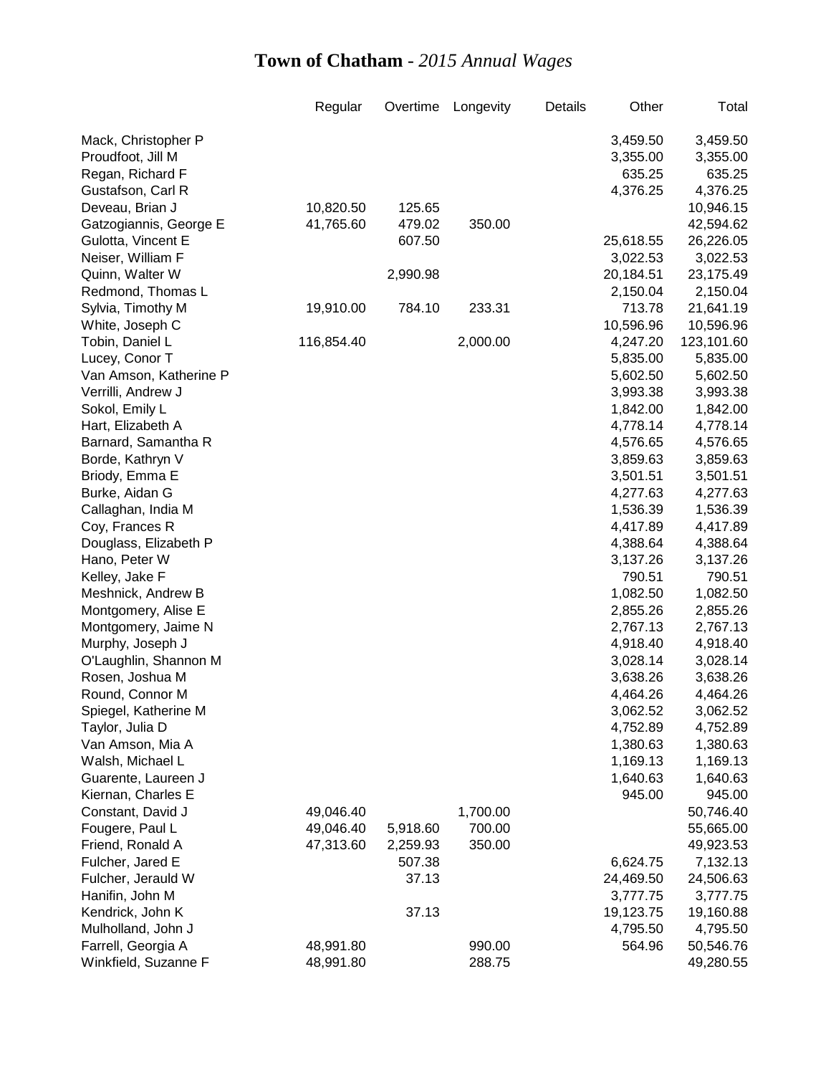|                        | Regular    | Overtime | Longevity | Details | Other     | Total                |
|------------------------|------------|----------|-----------|---------|-----------|----------------------|
| Mack, Christopher P    |            |          |           |         | 3,459.50  | 3,459.50             |
| Proudfoot, Jill M      |            |          |           |         | 3,355.00  | 3,355.00             |
| Regan, Richard F       |            |          |           |         | 635.25    | 635.25               |
| Gustafson, Carl R      |            |          |           |         | 4,376.25  | 4,376.25             |
| Deveau, Brian J        | 10,820.50  | 125.65   |           |         |           | 10,946.15            |
| Gatzogiannis, George E | 41,765.60  | 479.02   | 350.00    |         |           | 42,594.62            |
| Gulotta, Vincent E     |            | 607.50   |           |         | 25,618.55 | 26,226.05            |
| Neiser, William F      |            |          |           |         | 3,022.53  | 3,022.53             |
| Quinn, Walter W        |            | 2,990.98 |           |         | 20,184.51 | 23,175.49            |
| Redmond, Thomas L      |            |          |           |         | 2,150.04  | 2,150.04             |
| Sylvia, Timothy M      | 19,910.00  | 784.10   | 233.31    |         | 713.78    | 21,641.19            |
| White, Joseph C        |            |          |           |         | 10,596.96 | 10,596.96            |
| Tobin, Daniel L        | 116,854.40 |          | 2,000.00  |         | 4,247.20  | 123,101.60           |
| Lucey, Conor T         |            |          |           |         | 5,835.00  |                      |
|                        |            |          |           |         |           | 5,835.00             |
| Van Amson, Katherine P |            |          |           |         | 5,602.50  | 5,602.50<br>3,993.38 |
| Verrilli, Andrew J     |            |          |           |         | 3,993.38  |                      |
| Sokol, Emily L         |            |          |           |         | 1,842.00  | 1,842.00             |
| Hart, Elizabeth A      |            |          |           |         | 4,778.14  | 4,778.14             |
| Barnard, Samantha R    |            |          |           |         | 4,576.65  | 4,576.65             |
| Borde, Kathryn V       |            |          |           |         | 3,859.63  | 3,859.63             |
| Briody, Emma E         |            |          |           |         | 3,501.51  | 3,501.51             |
| Burke, Aidan G         |            |          |           |         | 4,277.63  | 4,277.63             |
| Callaghan, India M     |            |          |           |         | 1,536.39  | 1,536.39             |
| Coy, Frances R         |            |          |           |         | 4,417.89  | 4,417.89             |
| Douglass, Elizabeth P  |            |          |           |         | 4,388.64  | 4,388.64             |
| Hano, Peter W          |            |          |           |         | 3,137.26  | 3,137.26             |
| Kelley, Jake F         |            |          |           |         | 790.51    | 790.51               |
| Meshnick, Andrew B     |            |          |           |         | 1,082.50  | 1,082.50             |
| Montgomery, Alise E    |            |          |           |         | 2,855.26  | 2,855.26             |
| Montgomery, Jaime N    |            |          |           |         | 2,767.13  | 2,767.13             |
| Murphy, Joseph J       |            |          |           |         | 4,918.40  | 4,918.40             |
| O'Laughlin, Shannon M  |            |          |           |         | 3,028.14  | 3,028.14             |
| Rosen, Joshua M        |            |          |           |         | 3,638.26  | 3,638.26             |
| Round, Connor M        |            |          |           |         | 4,464.26  | 4,464.26             |
| Spiegel, Katherine M   |            |          |           |         | 3,062.52  | 3,062.52             |
| Taylor, Julia D        |            |          |           |         | 4,752.89  | 4,752.89             |
| Van Amson, Mia A       |            |          |           |         | 1,380.63  | 1,380.63             |
| Walsh, Michael L       |            |          |           |         | 1,169.13  | 1,169.13             |
| Guarente, Laureen J    |            |          |           |         | 1,640.63  | 1,640.63             |
| Kiernan, Charles E     |            |          |           |         | 945.00    | 945.00               |
| Constant, David J      | 49,046.40  |          | 1,700.00  |         |           | 50,746.40            |
| Fougere, Paul L        | 49,046.40  | 5,918.60 | 700.00    |         |           | 55,665.00            |
| Friend, Ronald A       | 47,313.60  | 2,259.93 | 350.00    |         |           | 49,923.53            |
| Fulcher, Jared E       |            | 507.38   |           |         | 6,624.75  | 7,132.13             |
| Fulcher, Jerauld W     |            | 37.13    |           |         | 24,469.50 | 24,506.63            |
| Hanifin, John M        |            |          |           |         | 3,777.75  | 3,777.75             |
| Kendrick, John K       |            | 37.13    |           |         | 19,123.75 | 19,160.88            |
| Mulholland, John J     |            |          |           |         | 4,795.50  | 4,795.50             |
| Farrell, Georgia A     | 48,991.80  |          | 990.00    |         | 564.96    | 50,546.76            |
| Winkfield, Suzanne F   | 48,991.80  |          | 288.75    |         |           | 49,280.55            |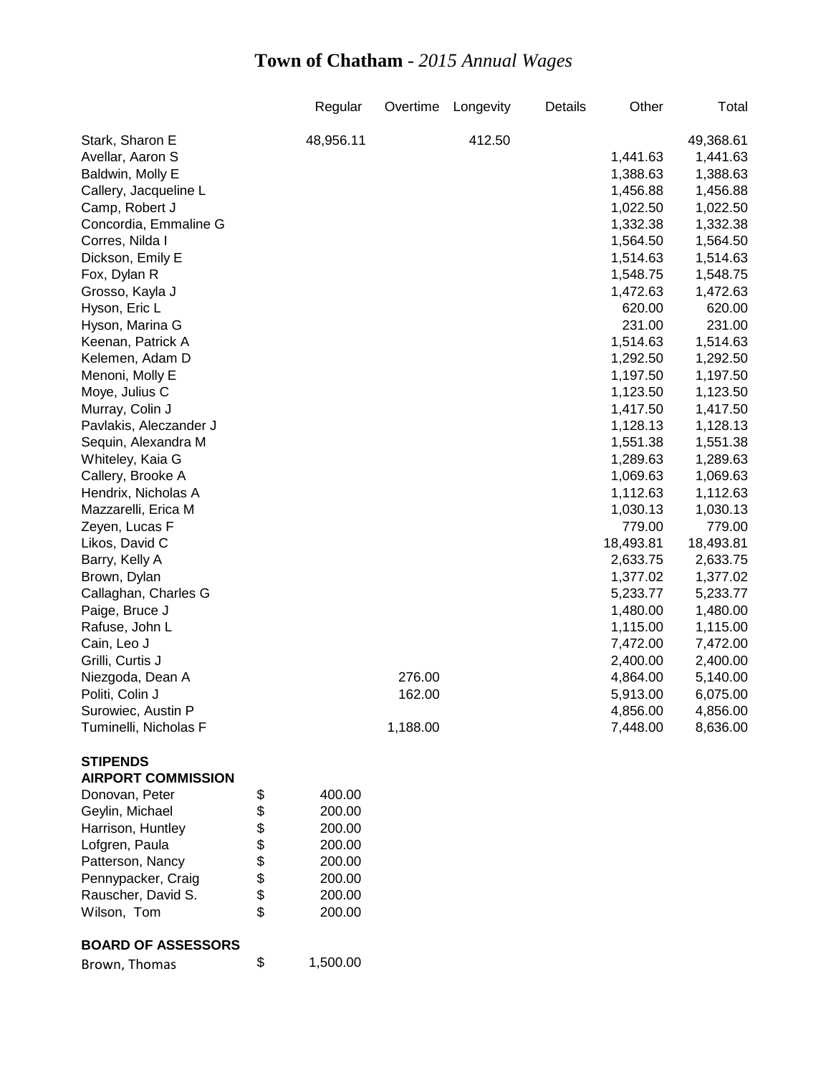|                           |          | Regular   | Overtime | Longevity | Details | Other     | Total     |
|---------------------------|----------|-----------|----------|-----------|---------|-----------|-----------|
| Stark, Sharon E           |          | 48,956.11 |          | 412.50    |         |           | 49,368.61 |
| Avellar, Aaron S          |          |           |          |           |         | 1,441.63  | 1,441.63  |
| Baldwin, Molly E          |          |           |          |           |         | 1,388.63  | 1,388.63  |
| Callery, Jacqueline L     |          |           |          |           |         | 1,456.88  | 1,456.88  |
| Camp, Robert J            |          |           |          |           |         | 1,022.50  | 1,022.50  |
| Concordia, Emmaline G     |          |           |          |           |         | 1,332.38  | 1,332.38  |
| Corres, Nilda I           |          |           |          |           |         | 1,564.50  | 1,564.50  |
| Dickson, Emily E          |          |           |          |           |         | 1,514.63  | 1,514.63  |
| Fox, Dylan R              |          |           |          |           |         | 1,548.75  | 1,548.75  |
| Grosso, Kayla J           |          |           |          |           |         | 1,472.63  | 1,472.63  |
| Hyson, Eric L             |          |           |          |           |         | 620.00    | 620.00    |
| Hyson, Marina G           |          |           |          |           |         | 231.00    | 231.00    |
| Keenan, Patrick A         |          |           |          |           |         | 1,514.63  | 1,514.63  |
| Kelemen, Adam D           |          |           |          |           |         | 1,292.50  | 1,292.50  |
| Menoni, Molly E           |          |           |          |           |         | 1,197.50  | 1,197.50  |
| Moye, Julius C            |          |           |          |           |         | 1,123.50  | 1,123.50  |
| Murray, Colin J           |          |           |          |           |         | 1,417.50  | 1,417.50  |
| Pavlakis, Aleczander J    |          |           |          |           |         | 1,128.13  | 1,128.13  |
| Sequin, Alexandra M       |          |           |          |           |         | 1,551.38  | 1,551.38  |
| Whiteley, Kaia G          |          |           |          |           |         | 1,289.63  | 1,289.63  |
| Callery, Brooke A         |          |           |          |           |         | 1,069.63  | 1,069.63  |
| Hendrix, Nicholas A       |          |           |          |           |         | 1,112.63  | 1,112.63  |
| Mazzarelli, Erica M       |          |           |          |           |         | 1,030.13  | 1,030.13  |
| Zeyen, Lucas F            |          |           |          |           |         | 779.00    | 779.00    |
| Likos, David C            |          |           |          |           |         | 18,493.81 | 18,493.81 |
| Barry, Kelly A            |          |           |          |           |         | 2,633.75  | 2,633.75  |
| Brown, Dylan              |          |           |          |           |         | 1,377.02  | 1,377.02  |
| Callaghan, Charles G      |          |           |          |           |         | 5,233.77  | 5,233.77  |
| Paige, Bruce J            |          |           |          |           |         | 1,480.00  | 1,480.00  |
| Rafuse, John L            |          |           |          |           |         | 1,115.00  | 1,115.00  |
| Cain, Leo J               |          |           |          |           |         | 7,472.00  | 7,472.00  |
| Grilli, Curtis J          |          |           |          |           |         | 2,400.00  | 2,400.00  |
| Niezgoda, Dean A          |          |           | 276.00   |           |         | 4,864.00  | 5,140.00  |
| Politi, Colin J           |          |           | 162.00   |           |         | 5,913.00  | 6,075.00  |
| Surowiec, Austin P        |          |           |          |           |         | 4,856.00  | 4,856.00  |
| Tuminelli, Nicholas F     |          |           | 1,188.00 |           |         | 7,448.00  | 8,636.00  |
| <b>STIPENDS</b>           |          |           |          |           |         |           |           |
| <b>AIRPORT COMMISSION</b> |          |           |          |           |         |           |           |
| Donovan, Peter            | \$       | 400.00    |          |           |         |           |           |
| Geylin, Michael           | \$       | 200.00    |          |           |         |           |           |
| Harrison, Huntley         |          | 200.00    |          |           |         |           |           |
| Lofgren, Paula            | \$<br>\$ | 200.00    |          |           |         |           |           |
| Patterson, Nancy          | \$       | 200.00    |          |           |         |           |           |
| Pennypacker, Craig        |          | 200.00    |          |           |         |           |           |
| Rauscher, David S.        | \$       | 200.00    |          |           |         |           |           |
| Wilson, Tom               | \$       | 200.00    |          |           |         |           |           |
|                           |          |           |          |           |         |           |           |
| <b>BOARD OF ASSESSORS</b> |          |           |          |           |         |           |           |

| Brown, Thomas | 1,500.00 |
|---------------|----------|
|               |          |